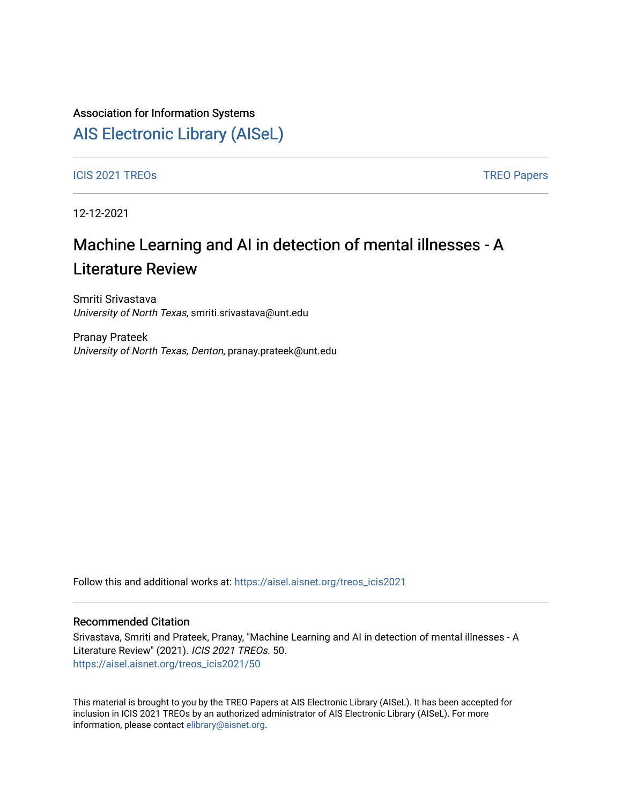## Association for Information Systems

## [AIS Electronic Library \(AISeL\)](https://aisel.aisnet.org/)

ICIS 2021 TREOS Notes that the contract of the contract of the contract of the contract of the contract of the contract of the contract of the contract of the contract of the contract of the contract of the contract of the

12-12-2021

# Machine Learning and AI in detection of mental illnesses - A Literature Review

Smriti Srivastava University of North Texas, smriti.srivastava@unt.edu

Pranay Prateek University of North Texas, Denton, pranay.prateek@unt.edu

Follow this and additional works at: [https://aisel.aisnet.org/treos\\_icis2021](https://aisel.aisnet.org/treos_icis2021?utm_source=aisel.aisnet.org%2Ftreos_icis2021%2F50&utm_medium=PDF&utm_campaign=PDFCoverPages) 

#### Recommended Citation

Srivastava, Smriti and Prateek, Pranay, "Machine Learning and AI in detection of mental illnesses - A Literature Review" (2021). ICIS 2021 TREOs. 50. [https://aisel.aisnet.org/treos\\_icis2021/50](https://aisel.aisnet.org/treos_icis2021/50?utm_source=aisel.aisnet.org%2Ftreos_icis2021%2F50&utm_medium=PDF&utm_campaign=PDFCoverPages) 

This material is brought to you by the TREO Papers at AIS Electronic Library (AISeL). It has been accepted for inclusion in ICIS 2021 TREOs by an authorized administrator of AIS Electronic Library (AISeL). For more information, please contact [elibrary@aisnet.org.](mailto:elibrary@aisnet.org%3E)